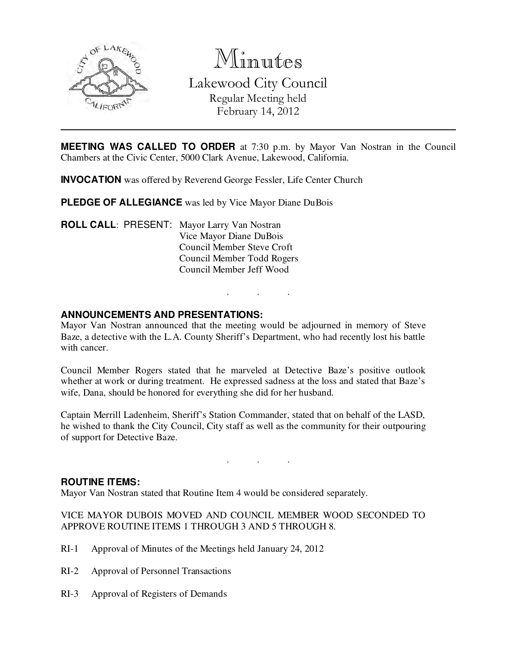

Minutes

Lakewood City Council Regular Meeting held February 14, 2012

**MEETING WAS CALLED TO ORDER** at 7:30 p.m. by Mayor Van Nostran in the Council Chambers at the Civic Center, 5000 Clark Avenue, Lakewood, California.

**INVOCATION** was offered by Reverend George Fessler, Life Center Church

**PLEDGE OF ALLEGIANCE** was led by Vice Mayor Diane DuBois

**ROLL CALL**: PRESENT: Mayor Larry Van Nostran Vice Mayor Diane DuBois Council Member Steve Croft Council Member Todd Rogers Council Member Jeff Wood

### **ANNOUNCEMENTS AND PRESENTATIONS:**

Mayor Van Nostran announced that the meeting would be adjourned in memory of Steve Baze, a detective with the L.A. County Sheriff's Department, who had recently lost his battle with cancer.

. . .

Council Member Rogers stated that he marveled at Detective Baze's positive outlook whether at work or during treatment. He expressed sadness at the loss and stated that Baze's wife, Dana, should be honored for everything she did for her husband.

Captain Merrill Ladenheim, Sheriff's Station Commander, stated that on behalf of the LASD, he wished to thank the City Council, City staff as well as the community for their outpouring of support for Detective Baze.

. . .

#### **ROUTINE ITEMS:**

Mayor Van Nostran stated that Routine Item 4 would be considered separately.

# VICE MAYOR DUBOIS MOVED AND COUNCIL MEMBER WOOD SECONDED TO APPROVE ROUTINE ITEMS 1 THROUGH 3 AND 5 THROUGH 8.

- RI-1 Approval of Minutes of the Meetings held January 24, 2012
- RI-2 Approval of Personnel Transactions
- RI-3 Approval of Registers of Demands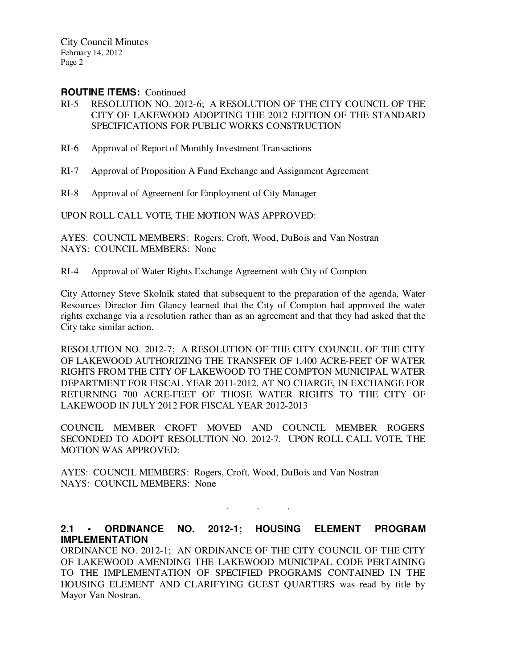#### **ROUTINE ITEMS: Continued**

- RI-5 RESOLUTION NO. 2012-6; A RESOLUTION OF THE CITY COUNCIL OF THE CITY OF LAKEWOOD ADOPTING THE 2012 EDITION OF THE STANDARD SPECIFICATIONS FOR PUBLIC WORKS CONSTRUCTION
- RI-6 Approval of Report of Monthly Investment Transactions
- RI-7 Approval of Proposition A Fund Exchange and Assignment Agreement
- RI-8 Approval of Agreement for Employment of City Manager

UPON ROLL CALL VOTE, THE MOTION WAS APPROVED:

AYES: COUNCIL MEMBERS: Rogers, Croft, Wood, DuBois and Van Nostran NAYS: COUNCIL MEMBERS: None

RI-4 Approval of Water Rights Exchange Agreement with City of Compton

City Attorney Steve Skolnik stated that subsequent to the preparation of the agenda, Water Resources Director Jim Glancy learned that the City of Compton had approved the water rights exchange via a resolution rather than as an agreement and that they had asked that the City take similar action.

RESOLUTION NO. 2012-7; A RESOLUTION OF THE CITY COUNCIL OF THE CITY OF LAKEWOOD AUTHORIZING THE TRANSFER OF 1,400 ACRE-FEET OF WATER RIGHTS FROM THE CITY OF LAKEWOOD TO THE COMPTON MUNICIPAL WATER DEPARTMENT FOR FISCAL YEAR 2011-2012, AT NO CHARGE, IN EXCHANGE FOR RETURNING 700 ACRE-FEET OF THOSE WATER RIGHTS TO THE CITY OF LAKEWOOD IN JULY 2012 FOR FISCAL YEAR 2012-2013

COUNCIL MEMBER CROFT MOVED AND COUNCIL MEMBER ROGERS SECONDED TO ADOPT RESOLUTION NO. 2012-7. UPON ROLL CALL VOTE, THE MOTION WAS APPROVED:

AYES: COUNCIL MEMBERS: Rogers, Croft, Wood, DuBois and Van Nostran NAYS: COUNCIL MEMBERS: None

### **2.1 • ORDINANCE NO. 2012-1; HOUSING ELEMENT PROGRAM IMPLEMENTATION**

. . .

ORDINANCE NO. 2012-1; AN ORDINANCE OF THE CITY COUNCIL OF THE CITY OF LAKEWOOD AMENDING THE LAKEWOOD MUNICIPAL CODE PERTAINING TO THE IMPLEMENTATION OF SPECIFIED PROGRAMS CONTAINED IN THE HOUSING ELEMENT AND CLARIFYING GUEST QUARTERS was read by title by Mayor Van Nostran.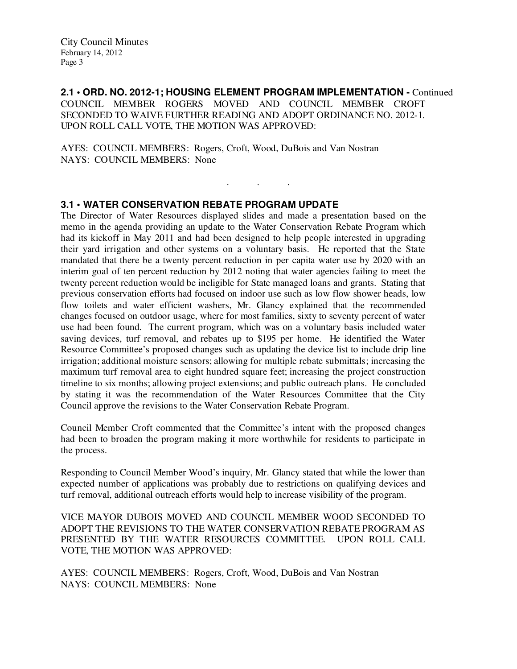**2.1 • ORD. NO. 2012-1; HOUSING ELEMENT PROGRAM IMPLEMENTATION -** Continued COUNCIL MEMBER ROGERS MOVED AND COUNCIL MEMBER CROFT SECONDED TO WAIVE FURTHER READING AND ADOPT ORDINANCE NO. 2012-1. UPON ROLL CALL VOTE, THE MOTION WAS APPROVED:

. . .

AYES: COUNCIL MEMBERS: Rogers, Croft, Wood, DuBois and Van Nostran NAYS: COUNCIL MEMBERS: None

# **3.1 • WATER CONSERVATION REBATE PROGRAM UPDATE**

The Director of Water Resources displayed slides and made a presentation based on the memo in the agenda providing an update to the Water Conservation Rebate Program which had its kickoff in May 2011 and had been designed to help people interested in upgrading their yard irrigation and other systems on a voluntary basis. He reported that the State mandated that there be a twenty percent reduction in per capita water use by 2020 with an interim goal of ten percent reduction by 2012 noting that water agencies failing to meet the twenty percent reduction would be ineligible for State managed loans and grants. Stating that previous conservation efforts had focused on indoor use such as low flow shower heads, low flow toilets and water efficient washers, Mr. Glancy explained that the recommended changes focused on outdoor usage, where for most families, sixty to seventy percent of water use had been found. The current program, which was on a voluntary basis included water saving devices, turf removal, and rebates up to \$195 per home. He identified the Water Resource Committee's proposed changes such as updating the device list to include drip line irrigation; additional moisture sensors; allowing for multiple rebate submittals; increasing the maximum turf removal area to eight hundred square feet; increasing the project construction timeline to six months; allowing project extensions; and public outreach plans. He concluded by stating it was the recommendation of the Water Resources Committee that the City Council approve the revisions to the Water Conservation Rebate Program.

Council Member Croft commented that the Committee's intent with the proposed changes had been to broaden the program making it more worthwhile for residents to participate in the process.

Responding to Council Member Wood's inquiry, Mr. Glancy stated that while the lower than expected number of applications was probably due to restrictions on qualifying devices and turf removal, additional outreach efforts would help to increase visibility of the program.

VICE MAYOR DUBOIS MOVED AND COUNCIL MEMBER WOOD SECONDED TO ADOPT THE REVISIONS TO THE WATER CONSERVATION REBATE PROGRAM AS PRESENTED BY THE WATER RESOURCES COMMITTEE. UPON ROLL CALL VOTE, THE MOTION WAS APPROVED:

AYES: COUNCIL MEMBERS: Rogers, Croft, Wood, DuBois and Van Nostran NAYS: COUNCIL MEMBERS: None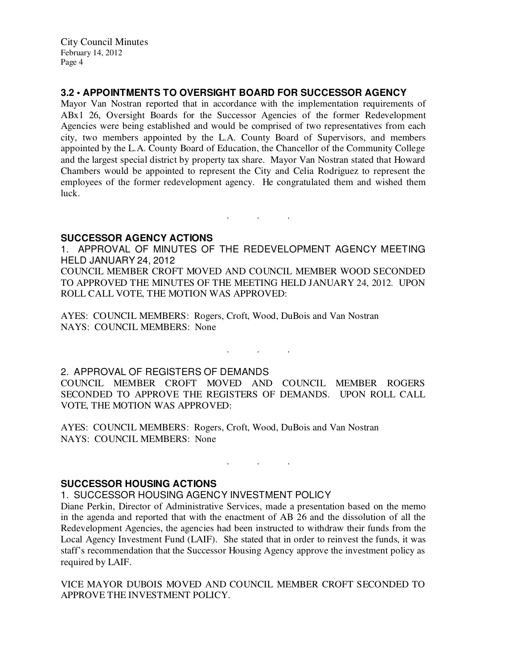# **3.2 • APPOINTMENTS TO OVERSIGHT BOARD FOR SUCCESSOR AGENCY**

Mayor Van Nostran reported that in accordance with the implementation requirements of ABx1 26, Oversight Boards for the Successor Agencies of the former Redevelopment Agencies were being established and would be comprised of two representatives from each city, two members appointed by the L.A. County Board of Supervisors, and members appointed by the L.A. County Board of Education, the Chancellor of the Community College and the largest special district by property tax share. Mayor Van Nostran stated that Howard Chambers would be appointed to represent the City and Celia Rodriguez to represent the employees of the former redevelopment agency. He congratulated them and wished them luck.

### **SUCCESSOR AGENCY ACTIONS**

1. APPROVAL OF MINUTES OF THE REDEVELOPMENT AGENCY MEETING HELD JANUARY 24, 2012

. . .

COUNCIL MEMBER CROFT MOVED AND COUNCIL MEMBER WOOD SECONDED TO APPROVED THE MINUTES OF THE MEETING HELD JANUARY 24, 2012. UPON ROLL CALL VOTE, THE MOTION WAS APPROVED:

AYES: COUNCIL MEMBERS: Rogers, Croft, Wood, DuBois and Van Nostran NAYS: COUNCIL MEMBERS: None

2. APPROVAL OF REGISTERS OF DEMANDS

COUNCIL MEMBER CROFT MOVED AND COUNCIL MEMBER ROGERS SECONDED TO APPROVE THE REGISTERS OF DEMANDS. UPON ROLL CALL VOTE, THE MOTION WAS APPROVED:

. As we have the set of  $\mathcal{A}$  , and  $\mathcal{A}$ 

. . .

AYES: COUNCIL MEMBERS: Rogers, Croft, Wood, DuBois and Van Nostran NAYS: COUNCIL MEMBERS: None

**SUCCESSOR HOUSING ACTIONS** 

1. SUCCESSOR HOUSING AGENCY INVESTMENT POLICY

Diane Perkin, Director of Administrative Services, made a presentation based on the memo in the agenda and reported that with the enactment of AB 26 and the dissolution of all the Redevelopment Agencies, the agencies had been instructed to withdraw their funds from the Local Agency Investment Fund (LAIF). She stated that in order to reinvest the funds, it was staff's recommendation that the Successor Housing Agency approve the investment policy as required by LAIF.

VICE MAYOR DUBOIS MOVED AND COUNCIL MEMBER CROFT SECONDED TO APPROVE THE INVESTMENT POLICY.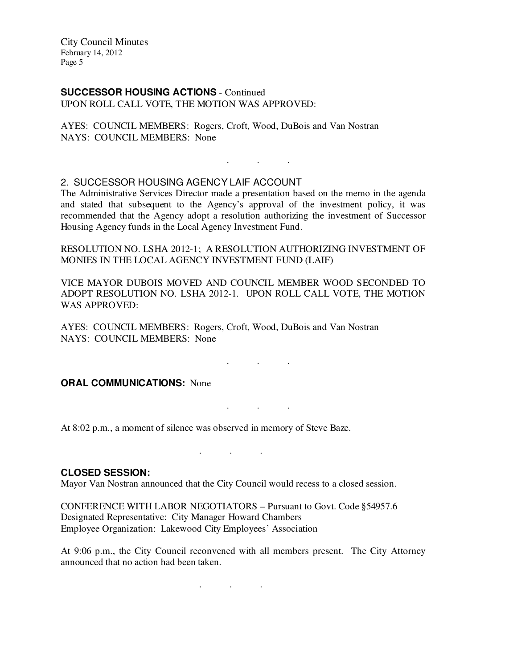#### **SUCCESSOR HOUSING ACTIONS** - Continued UPON ROLL CALL VOTE, THE MOTION WAS APPROVED:

AYES: COUNCIL MEMBERS: Rogers, Croft, Wood, DuBois and Van Nostran NAYS: COUNCIL MEMBERS: None

# 2. SUCCESSOR HOUSING AGENCY LAIF ACCOUNT

The Administrative Services Director made a presentation based on the memo in the agenda and stated that subsequent to the Agency's approval of the investment policy, it was recommended that the Agency adopt a resolution authorizing the investment of Successor Housing Agency funds in the Local Agency Investment Fund.

. . .

RESOLUTION NO. LSHA 2012-1; A RESOLUTION AUTHORIZING INVESTMENT OF MONIES IN THE LOCAL AGENCY INVESTMENT FUND (LAIF)

VICE MAYOR DUBOIS MOVED AND COUNCIL MEMBER WOOD SECONDED TO ADOPT RESOLUTION NO. LSHA 2012-1. UPON ROLL CALL VOTE, THE MOTION WAS APPROVED:

. . .

. . .

AYES: COUNCIL MEMBERS: Rogers, Croft, Wood, DuBois and Van Nostran NAYS: COUNCIL MEMBERS: None

# **ORAL COMMUNICATIONS: None**

At 8:02 p.m., a moment of silence was observed in memory of Steve Baze.

#### **CLOSED SESSION:**

Mayor Van Nostran announced that the City Council would recess to a closed session.

. . .

CONFERENCE WITH LABOR NEGOTIATORS – Pursuant to Govt. Code §54957.6 Designated Representative: City Manager Howard Chambers Employee Organization: Lakewood City Employees' Association

At 9:06 p.m., the City Council reconvened with all members present. The City Attorney announced that no action had been taken.

. . .